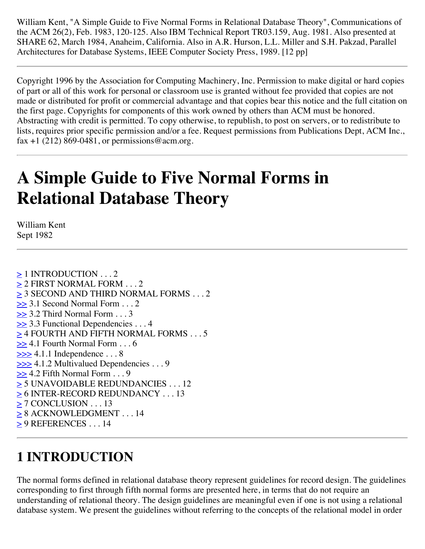William Kent, "A Simple Guide to Five Normal Forms in Relational Database Theory", Communications of the ACM 26(2), Feb. 1983, 120-125. Also IBM Technical Report TR03.159, Aug. 1981. Also presented at SHARE 62, March 1984, Anaheim, California. Also in A.R. Hurson, L.L. Miller and S.H. Pakzad, Parallel Architectures for Database Systems, IEEE Computer Society Press, 1989. [12 pp]

Copyright 1996 by the Association for Computing Machinery, Inc. Permission to make digital or hard copies of part or all of this work for personal or classroom use is granted without fee provided that copies are not made or distributed for profit or commercial advantage and that copies bear this notice and the full citation on the first page. Copyrights for components of this work owned by others than ACM must be honored. Abstracting with credit is permitted. To copy otherwise, to republish, to post on servers, or to redistribute to lists, requires prior specific permission and/or a fee. Request permissions from Publications Dept, ACM Inc., fax +1 (212) 869-0481, or permissions@acm.org.

# **A Simple Guide to Five Normal Forms in Relational Database Theory**

William Kent Sept 1982

 $\geq$  1 INTRODUCTION  $\dots$  2  $\geq$  2 FIRST NORMAL FORM . . . 2 [>](http://www.bkent.net/Doc/simple5.htm#label3) 3 SECOND AND THIRD NORMAL FORMS . . . 2  $\geq$  3.1 Second Normal Form . . . 2 [>>](http://www.bkent.net/Doc/simple5.htm#label3.2) 3.2 Third Normal Form . . . 3  $\geq$  3.3 Functional Dependencies . . . 4 [>](http://www.bkent.net/Doc/simple5.htm#label4) 4 FOURTH AND FIFTH NORMAL FORMS . . . 5 [>>](http://www.bkent.net/Doc/simple5.htm#label4.1) 4.1 Fourth Normal Form . . . 6  $\geq \geq$  4.1.1 Independence ... 8  $\geq$  4.1.2 Multivalued Dependencies . . . 9  $\geq$  4.2 Fifth Normal Form . . . 9  $\geq$  5 UNAVOIDABLE REDUNDANCIES . . . 12  $\geq$  6 INTER-RECORD REDUNDANCY . . . 13  $\geq$  7 CONCLUSION  $\dots$  13  $\geq$  8 ACKNOWLEDGMENT . . . 14  $\geq$  9 REFERENCES . . . 14

### **1 INTRODUCTION**

The normal forms defined in relational database theory represent guidelines for record design. The guidelines corresponding to first through fifth normal forms are presented here, in terms that do not require an understanding of relational theory. The design guidelines are meaningful even if one is not using a relational database system. We present the guidelines without referring to the concepts of the relational model in order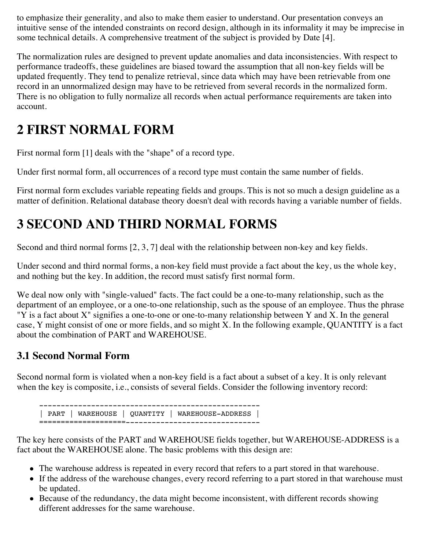to emphasize their generality, and also to make them easier to understand. Our presentation conveys an intuitive sense of the intended constraints on record design, although in its informality it may be imprecise in some technical details. A comprehensive treatment of the subject is provided by Date [4].

The normalization rules are designed to prevent update anomalies and data inconsistencies. With respect to performance tradeoffs, these guidelines are biased toward the assumption that all non-key fields will be updated frequently. They tend to penalize retrieval, since data which may have been retrievable from one record in an unnormalized design may have to be retrieved from several records in the normalized form. There is no obligation to fully normalize all records when actual performance requirements are taken into account.

# **2 FIRST NORMAL FORM**

First normal form [1] deals with the "shape" of a record type.

Under first normal form, all occurrences of a record type must contain the same number of fields.

First normal form excludes variable repeating fields and groups. This is not so much a design guideline as a matter of definition. Relational database theory doesn't deal with records having a variable number of fields.

### **3 SECOND AND THIRD NORMAL FORMS**

Second and third normal forms [2, 3, 7] deal with the relationship between non-key and key fields.

Under second and third normal forms, a non-key field must provide a fact about the key, us the whole key, and nothing but the key. In addition, the record must satisfy first normal form.

We deal now only with "single-valued" facts. The fact could be a one-to-many relationship, such as the department of an employee, or a one-to-one relationship, such as the spouse of an employee. Thus the phrase "Y is a fact about X" signifies a one-to-one or one-to-many relationship between Y and X. In the general case, Y might consist of one or more fields, and so might X. In the following example, QUANTITY is a fact about the combination of PART and WAREHOUSE.

### **3.1 Second Normal Form**

Second normal form is violated when a non-key field is a fact about a subset of a key. It is only relevant when the key is composite, *i.e.*, consists of several fields. Consider the following inventory record:

--------------------------------------------------- | PART | WAREHOUSE | QUANTITY | WAREHOUSE-ADDRESS | ====================-------------------------------

The key here consists of the PART and WAREHOUSE fields together, but WAREHOUSE-ADDRESS is a fact about the WAREHOUSE alone. The basic problems with this design are:

- The warehouse address is repeated in every record that refers to a part stored in that warehouse.
- If the address of the warehouse changes, every record referring to a part stored in that warehouse must be updated.
- Because of the redundancy, the data might become inconsistent, with different records showing different addresses for the same warehouse.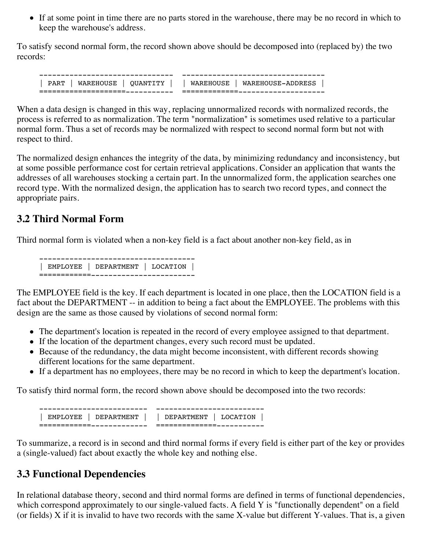If at some point in time there are no parts stored in the warehouse, there may be no record in which to keep the warehouse's address.

To satisfy second normal form, the record shown above should be decomposed into (replaced by) the two records:

| ------------------------<br>----- |                      |  |                           | --------------------------- |
|-----------------------------------|----------------------|--|---------------------------|-----------------------------|
| <b>PART</b>                       | WAREHOUSE   OUANTITY |  | WAREHOUSE                 | WAREHOUSE-ADDRESS           |
| ____<br>-----                     |                      |  | ________<br>_____________ |                             |

When a data design is changed in this way, replacing unnormalized records with normalized records, the process is referred to as normalization. The term "normalization" is sometimes used relative to a particular normal form. Thus a set of records may be normalized with respect to second normal form but not with respect to third.

The normalized design enhances the integrity of the data, by minimizing redundancy and inconsistency, but at some possible performance cost for certain retrieval applications. Consider an application that wants the addresses of all warehouses stocking a certain part. In the unnormalized form, the application searches one record type. With the normalized design, the application has to search two record types, and connect the appropriate pairs.

### **3.2 Third Normal Form**

Third normal form is violated when a non-key field is a fact about another non-key field, as in

|                                        |  |  | EMPLOYEE   DEPARTMENT   LOCATION |  |  |
|----------------------------------------|--|--|----------------------------------|--|--|
| =============_________________________ |  |  |                                  |  |  |

The EMPLOYEE field is the key. If each department is located in one place, then the LOCATION field is a fact about the DEPARTMENT -- in addition to being a fact about the EMPLOYEE. The problems with this design are the same as those caused by violations of second normal form:

- The department's location is repeated in the record of every employee assigned to that department.
- If the location of the department changes, every such record must be updated.
- Because of the redundancy, the data might become inconsistent, with different records showing different locations for the same department.
- If a department has no employees, there may be no record in which to keep the department's location.

To satisfy third normal form, the record shown above should be decomposed into the two records:

```
------------------------- -------------------------
| EMPLOYEE | DEPARTMENT | | DEPARTMENT | LOCATION |
============------------- ==============-----------
```
To summarize, a record is in second and third normal forms if every field is either part of the key or provides a (single-valued) fact about exactly the whole key and nothing else.

### **3.3 Functional Dependencies**

In relational database theory, second and third normal forms are defined in terms of functional dependencies, which correspond approximately to our single-valued facts. A field Y is "functionally dependent" on a field (or fields) X if it is invalid to have two records with the same X-value but different Y-values. That is, a given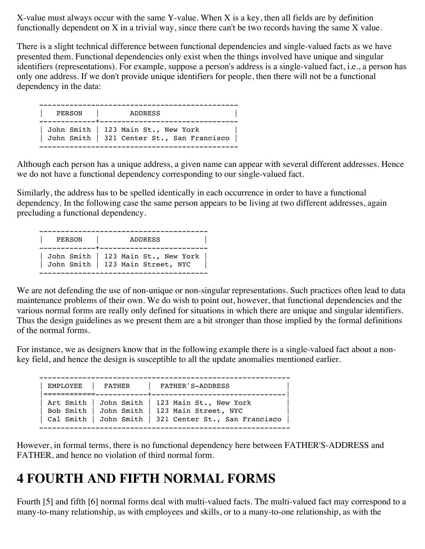X-value must always occur with the same Y-value. When X is a key, then all fields are by definition functionally dependent on X in a trivial way, since there can't be two records having the same X value.

There is a slight technical difference between functional dependencies and single-valued facts as we have presented them. Functional dependencies only exist when the things involved have unique and singular identifiers (representations). For example, suppose a person's address is a single-valued fact, i.e., a person has only one address. If we don't provide unique identifiers for people, then there will not be a functional dependency in the data:

| PERSON | ADDRESS<br>_____________+________________________                                   |
|--------|-------------------------------------------------------------------------------------|
|        | John Smith   123 Main St., New York<br>  John Smith   321 Center St., San Francisco |

Although each person has a unique address, a given name can appear with several different addresses. Hence we do not have a functional dependency corresponding to our single-valued fact.

Similarly, the address has to be spelled identically in each occurrence in order to have a functional dependency. In the following case the same person appears to be living at two different addresses, again precluding a functional dependency.

| PERSON | ADDRESS<br>_____________+_____________                                     |  |  |
|--------|----------------------------------------------------------------------------|--|--|
|        | John Smith   123 Main St., New York  <br>John Smith   123 Main Street, NYC |  |  |

We are not defending the use of non-unique or non-singular representations. Such practices often lead to data maintenance problems of their own. We do wish to point out, however, that functional dependencies and the various normal forms are really only defined for situations in which there are unique and singular identifiers. Thus the design guidelines as we present them are a bit stronger than those implied by the formal definitions of the normal forms.

For instance, we as designers know that in the following example there is a single-valued fact about a nonkey field, and hence the design is susceptible to all the update anomalies mentioned earlier.

| EMPLOYEE   FATHER |                                                      | FATHER'S-ADDRESS                                                                                         |  |
|-------------------|------------------------------------------------------|----------------------------------------------------------------------------------------------------------|--|
|                   | Bob Smith   John Smith  <br>  Cal Smith   John Smith | Art Smith   John Smith   123 Main St., New York<br>123 Main Street, NYC<br>321 Center St., San Francisco |  |

However, in formal terms, there is no functional dependency here between FATHER'S-ADDRESS and FATHER, and hence no violation of third normal form.

# **4 FOURTH AND FIFTH NORMAL FORMS**

Fourth [5] and fifth [6] normal forms deal with multi-valued facts. The multi-valued fact may correspond to a many-to-many relationship, as with employees and skills, or to a many-to-one relationship, as with the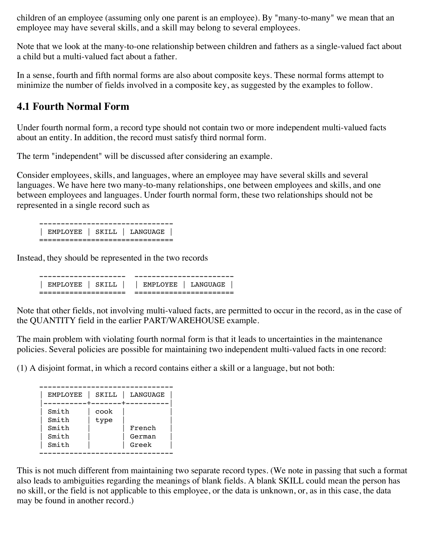children of an employee (assuming only one parent is an employee). By "many-to-many" we mean that an employee may have several skills, and a skill may belong to several employees.

Note that we look at the many-to-one relationship between children and fathers as a single-valued fact about a child but a multi-valued fact about a father.

In a sense, fourth and fifth normal forms are also about composite keys. These normal forms attempt to minimize the number of fields involved in a composite key, as suggested by the examples to follow.

### **4.1 Fourth Normal Form**

Under fourth normal form, a record type should not contain two or more independent multi-valued facts about an entity. In addition, the record must satisfy third normal form.

The term "independent" will be discussed after considering an example.

Consider employees, skills, and languages, where an employee may have several skills and several languages. We have here two many-to-many relationships, one between employees and skills, and one between employees and languages. Under fourth normal form, these two relationships should not be represented in a single record such as

```
-------------------------------
| EMPLOYEE | SKILL | LANGUAGE |
===============================
```
Instead, they should be represented in the two records

|  | EMPLOYEE   SKILL     EMPLOYEE   LANGUAGE |  |
|--|------------------------------------------|--|
|  |                                          |  |

Note that other fields, not involving multi-valued facts, are permitted to occur in the record, as in the case of the QUANTITY field in the earlier PART/WAREHOUSE example.

The main problem with violating fourth normal form is that it leads to uncertainties in the maintenance policies. Several policies are possible for maintaining two independent multi-valued facts in one record:

(1) A disjoint format, in which a record contains either a skill or a language, but not both:

| EMPLOYEE                                  | SKILL        | LANGUAGE                  |
|-------------------------------------------|--------------|---------------------------|
| Smith<br>Smith<br>Smith<br>Smith<br>Smith | cook<br>type | French<br>German<br>Greek |

This is not much different from maintaining two separate record types. (We note in passing that such a format also leads to ambiguities regarding the meanings of blank fields. A blank SKILL could mean the person has no skill, or the field is not applicable to this employee, or the data is unknown, or, as in this case, the data may be found in another record.)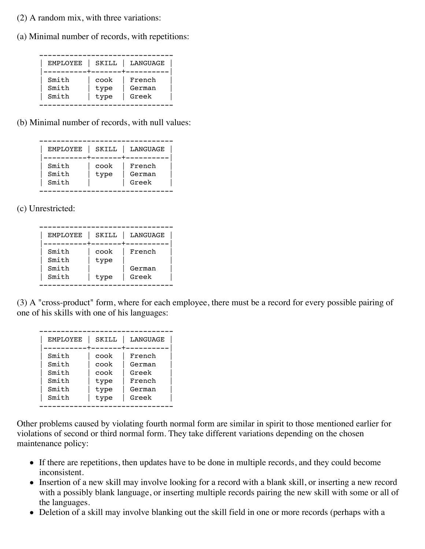- (2) A random mix, with three variations:
- (a) Minimal number of records, with repetitions:

| EMPLOYEE   SKILL   LANGUAGE |      |        |
|-----------------------------|------|--------|
| Smith                       | cook | French |
| Smith                       | type | German |
| Smith                       | type | Greek  |

(b) Minimal number of records, with null values:

| EMPLOYEE   SKILL   LANGUAGE |              |                           |
|-----------------------------|--------------|---------------------------|
| Smith<br>Smith<br>Smith     | cook<br>type | French<br>German<br>Greek |

(c) Unrestricted:

| EMPLOYEE |      | $ $ SKILL $ $ LANGUAGE |
|----------|------|------------------------|
|          |      |                        |
| Smith    | cook | French                 |
| Smith    | type |                        |
| Smith    |      | German                 |
| Smith    | type | Greek                  |
|          |      |                        |

(3) A "cross-product" form, where for each employee, there must be a record for every possible pairing of one of his skills with one of his languages:

| <b>EMPLOYEE</b> | SKILL        | LANGUAGE         |  |
|-----------------|--------------|------------------|--|
| Smith<br>Smith  | cook<br>cook | French<br>German |  |
| Smith           | cook         | Greek            |  |
| Smith<br>Smith  | type<br>type | French<br>German |  |
| Smith           | type         | Greek            |  |
|                 |              |                  |  |

Other problems caused by violating fourth normal form are similar in spirit to those mentioned earlier for violations of second or third normal form. They take different variations depending on the chosen maintenance policy:

- If there are repetitions, then updates have to be done in multiple records, and they could become inconsistent.
- Insertion of a new skill may involve looking for a record with a blank skill, or inserting a new record with a possibly blank language, or inserting multiple records pairing the new skill with some or all of the languages.
- Deletion of a skill may involve blanking out the skill field in one or more records (perhaps with a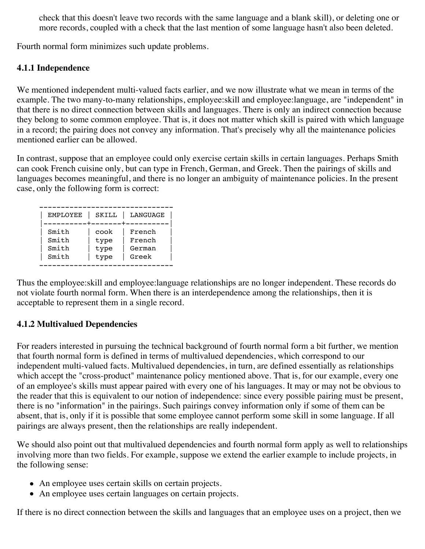check that this doesn't leave two records with the same language and a blank skill), or deleting one or more records, coupled with a check that the last mention of some language hasn't also been deleted.

Fourth normal form minimizes such update problems.

#### **4.1.1 Independence**

We mentioned independent multi-valued facts earlier, and we now illustrate what we mean in terms of the example. The two many-to-many relationships, employee:skill and employee:language, are "independent" in that there is no direct connection between skills and languages. There is only an indirect connection because they belong to some common employee. That is, it does not matter which skill is paired with which language in a record; the pairing does not convey any information. That's precisely why all the maintenance policies mentioned earlier can be allowed.

In contrast, suppose that an employee could only exercise certain skills in certain languages. Perhaps Smith can cook French cuisine only, but can type in French, German, and Greek. Then the pairings of skills and languages becomes meaningful, and there is no longer an ambiguity of maintenance policies. In the present case, only the following form is correct:

|       | <b>EMPLOYEE</b> | SKILL | LANGUAGE |  |
|-------|-----------------|-------|----------|--|
|       |                 |       |          |  |
| Smith |                 | cook  | French   |  |
| Smith |                 | type  | French   |  |
| Smith |                 | type  | German   |  |
| Smith |                 | type  | Greek    |  |
|       |                 |       |          |  |

Thus the employee:skill and employee:language relationships are no longer independent. These records do not violate fourth normal form. When there is an interdependence among the relationships, then it is acceptable to represent them in a single record.

#### **4.1.2 Multivalued Dependencies**

For readers interested in pursuing the technical background of fourth normal form a bit further, we mention that fourth normal form is defined in terms of multivalued dependencies, which correspond to our independent multi-valued facts. Multivalued dependencies, in turn, are defined essentially as relationships which accept the "cross-product" maintenance policy mentioned above. That is, for our example, every one of an employee's skills must appear paired with every one of his languages. It may or may not be obvious to the reader that this is equivalent to our notion of independence: since every possible pairing must be present, there is no "information" in the pairings. Such pairings convey information only if some of them can be absent, that is, only if it is possible that some employee cannot perform some skill in some language. If all pairings are always present, then the relationships are really independent.

We should also point out that multivalued dependencies and fourth normal form apply as well to relationships involving more than two fields. For example, suppose we extend the earlier example to include projects, in the following sense:

- An employee uses certain skills on certain projects.
- An employee uses certain languages on certain projects.

If there is no direct connection between the skills and languages that an employee uses on a project, then we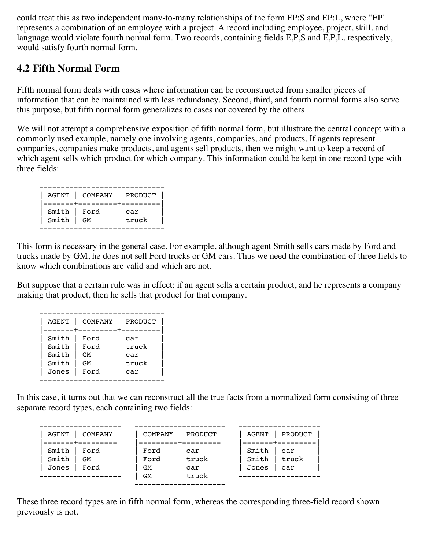could treat this as two independent many-to-many relationships of the form EP:S and EP:L, where "EP" represents a combination of an employee with a project. A record including employee, project, skill, and language would violate fourth normal form. Two records, containing fields E,P,S and E,P,L, respectively, would satisfy fourth normal form.

### **4.2 Fifth Normal Form**

Fifth normal form deals with cases where information can be reconstructed from smaller pieces of information that can be maintained with less redundancy. Second, third, and fourth normal forms also serve this purpose, but fifth normal form generalizes to cases not covered by the others.

We will not attempt a comprehensive exposition of fifth normal form, but illustrate the central concept with a commonly used example, namely one involving agents, companies, and products. If agents represent companies, companies make products, and agents sell products, then we might want to keep a record of which agent sells which product for which company. This information could be kept in one record type with three fields:

|                              | AGENT   COMPANY   PRODUCT<br>--------- |              |
|------------------------------|----------------------------------------|--------------|
| Smith   Ford<br>$Smith$ $GM$ |                                        | car<br>truck |

This form is necessary in the general case. For example, although agent Smith sells cars made by Ford and trucks made by GM, he does not sell Ford trucks or GM cars. Thus we need the combination of three fields to know which combinations are valid and which are not.

But suppose that a certain rule was in effect: if an agent sells a certain product, and he represents a company making that product, then he sells that product for that company.

|       | COMPANY<br>AGENT |      | <b>PRODUCT</b> |
|-------|------------------|------|----------------|
|       |                  |      |                |
| Smith |                  | Ford | car            |
| Smith |                  | Ford | t ruck         |
| Smith | GМ               |      | car            |
| Smith | GМ               |      | truck          |
| Jones |                  | Ford | car            |
|       |                  |      |                |

In this case, it turns out that we can reconstruct all the true facts from a normalized form consisting of three separate record types, each containing two fields:

| AGENT | COMPANY     | COMPANY | PRODUCT | AGENT | PRODUCT |  |
|-------|-------------|---------|---------|-------|---------|--|
|       | ____+______ |         |         |       |         |  |
| Smith | Ford        | Ford    | car     | Smith | car     |  |
| Smith | GM          | Ford    | truck   | Smith | truck   |  |
| Jones | Ford        | GM      | car     | Jones | car     |  |
|       |             | GM      | truck   |       |         |  |
|       |             |         |         |       |         |  |

These three record types are in fifth normal form, whereas the corresponding three-field record shown previously is not.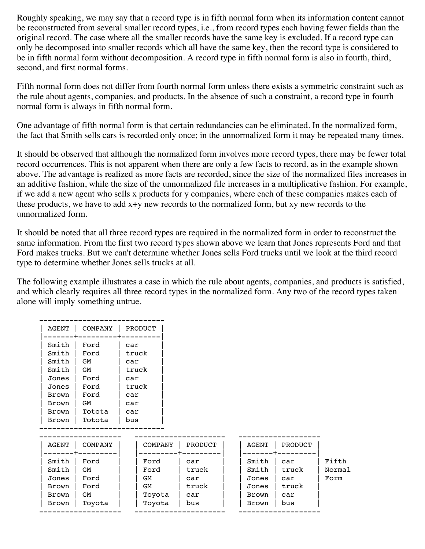Roughly speaking, we may say that a record type is in fifth normal form when its information content cannot be reconstructed from several smaller record types, i.e., from record types each having fewer fields than the original record. The case where all the smaller records have the same key is excluded. If a record type can only be decomposed into smaller records which all have the same key, then the record type is considered to be in fifth normal form without decomposition. A record type in fifth normal form is also in fourth, third, second, and first normal forms.

Fifth normal form does not differ from fourth normal form unless there exists a symmetric constraint such as the rule about agents, companies, and products. In the absence of such a constraint, a record type in fourth normal form is always in fifth normal form.

One advantage of fifth normal form is that certain redundancies can be eliminated. In the normalized form, the fact that Smith sells cars is recorded only once; in the unnormalized form it may be repeated many times.

It should be observed that although the normalized form involves more record types, there may be fewer total record occurrences. This is not apparent when there are only a few facts to record, as in the example shown above. The advantage is realized as more facts are recorded, since the size of the normalized files increases in an additive fashion, while the size of the unnormalized file increases in a multiplicative fashion. For example, if we add a new agent who sells x products for y companies, where each of these companies makes each of these products, we have to add x+y new records to the normalized form, but xy new records to the unnormalized form.

It should be noted that all three record types are required in the normalized form in order to reconstruct the same information. From the first two record types shown above we learn that Jones represents Ford and that Ford makes trucks. But we can't determine whether Jones sells Ford trucks until we look at the third record type to determine whether Jones sells trucks at all.

The following example illustrates a case in which the rule about agents, companies, and products is satisfied, and which clearly requires all three record types in the normalized form. Any two of the record types taken alone will imply something untrue.

| AGENT        | COMPANY |     | <b>PRODUCT</b> |                |              |                |        |
|--------------|---------|-----|----------------|----------------|--------------|----------------|--------|
| Smith        | Ford    | car |                |                |              |                |        |
| Smith        | Ford    |     | truck          |                |              |                |        |
| Smith        | GM      | car |                |                |              |                |        |
| Smith        | GM      |     | truck          |                |              |                |        |
| Jones        | Ford    | car |                |                |              |                |        |
| Jones        | Ford    |     | truck          |                |              |                |        |
| <b>Brown</b> | Ford    | car |                |                |              |                |        |
| <b>Brown</b> | GM      | car |                |                |              |                |        |
| <b>Brown</b> | Totota  | car |                |                |              |                |        |
| Brown        | Totota  | bus |                |                |              |                |        |
|              |         |     |                |                |              |                |        |
|              |         |     |                |                |              |                |        |
| AGENT        | COMPANY |     | COMPANY        | <b>PRODUCT</b> | <b>AGENT</b> | <b>PRODUCT</b> |        |
|              |         |     |                |                |              |                |        |
| Smith        | Ford    |     | Ford           | car            | Smith        | car            | Fifth  |
| Smith        | GM      |     | Ford           | truck          | Smith        | truck          | Normal |
| Jones        | Ford    |     | GM             | car            | Jones        | car            | Form   |
| <b>Brown</b> | Ford    |     | <b>GM</b>      | truck          | Jones        | truck          |        |
| <b>Brown</b> | GM      |     | Toyota         | car            | <b>Brown</b> | car            |        |
| Brown        | Toyota  |     | Toyota         | bus            | Brown        | bus            |        |
|              |         |     |                |                |              |                |        |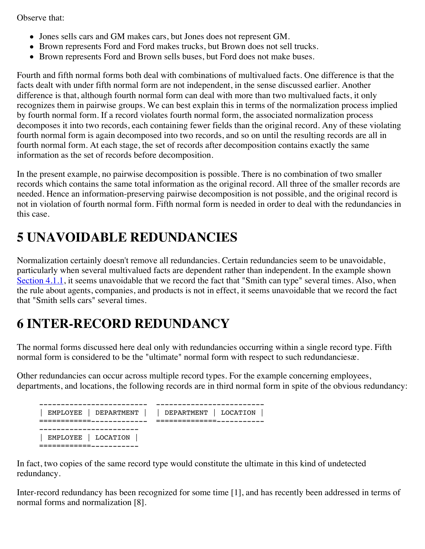Observe that:

- Jones sells cars and GM makes cars, but Jones does not represent GM.
- Brown represents Ford and Ford makes trucks, but Brown does not sell trucks.
- Brown represents Ford and Brown sells buses, but Ford does not make buses.

Fourth and fifth normal forms both deal with combinations of multivalued facts. One difference is that the facts dealt with under fifth normal form are not independent, in the sense discussed earlier. Another difference is that, although fourth normal form can deal with more than two multivalued facts, it only recognizes them in pairwise groups. We can best explain this in terms of the normalization process implied by fourth normal form. If a record violates fourth normal form, the associated normalization process decomposes it into two records, each containing fewer fields than the original record. Any of these violating fourth normal form is again decomposed into two records, and so on until the resulting records are all in fourth normal form. At each stage, the set of records after decomposition contains exactly the same information as the set of records before decomposition.

In the present example, no pairwise decomposition is possible. There is no combination of two smaller records which contains the same total information as the original record. All three of the smaller records are needed. Hence an information-preserving pairwise decomposition is not possible, and the original record is not in violation of fourth normal form. Fifth normal form is needed in order to deal with the redundancies in this case.

# **5 UNAVOIDABLE REDUNDANCIES**

Normalization certainly doesn't remove all redundancies. Certain redundancies seem to be unavoidable, particularly when several multivalued facts are dependent rather than independent. In the example shown [Section 4.1.1,](http://www.bkent.net/Doc/simple5.htm#label4.1.1) it seems unavoidable that we record the fact that "Smith can type" several times. Also, when the rule about agents, companies, and products is not in effect, it seems unavoidable that we record the fact that "Smith sells cars" several times.

# **6 INTER-RECORD REDUNDANCY**

The normal forms discussed here deal only with redundancies occurring within a single record type. Fifth normal form is considered to be the "ultimate" normal form with respect to such redundanciesæ.

Other redundancies can occur across multiple record types. For the example concerning employees, departments, and locations, the following records are in third normal form in spite of the obvious redundancy:

|                     | EMPLOYEE   DEPARTMENT     DEPARTMENT   LOCATION |
|---------------------|-------------------------------------------------|
| EMPLOYEE   LOCATION |                                                 |

In fact, two copies of the same record type would constitute the ultimate in this kind of undetected redundancy.

Inter-record redundancy has been recognized for some time [1], and has recently been addressed in terms of normal forms and normalization [8].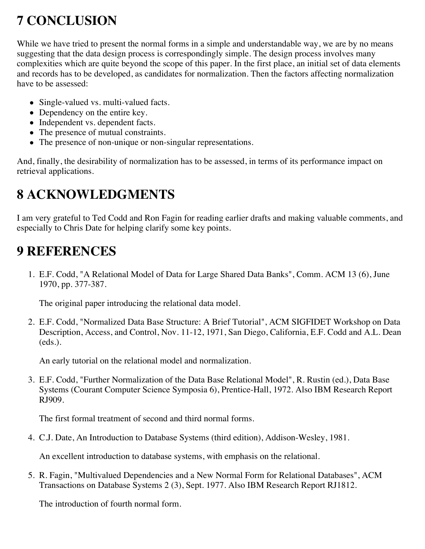# **7 CONCLUSION**

While we have tried to present the normal forms in a simple and understandable way, we are by no means suggesting that the data design process is correspondingly simple. The design process involves many complexities which are quite beyond the scope of this paper. In the first place, an initial set of data elements and records has to be developed, as candidates for normalization. Then the factors affecting normalization have to be assessed:

- Single-valued vs. multi-valued facts.
- Dependency on the entire key.
- Independent vs. dependent facts.
- The presence of mutual constraints.
- The presence of non-unique or non-singular representations.

And, finally, the desirability of normalization has to be assessed, in terms of its performance impact on retrieval applications.

# **8 ACKNOWLEDGMENTS**

I am very grateful to Ted Codd and Ron Fagin for reading earlier drafts and making valuable comments, and especially to Chris Date for helping clarify some key points.

# **9 REFERENCES**

1. E.F. Codd, "A Relational Model of Data for Large Shared Data Banks", Comm. ACM 13 (6), June 1970, pp. 377-387.

The original paper introducing the relational data model.

2. E.F. Codd, "Normalized Data Base Structure: A Brief Tutorial", ACM SIGFIDET Workshop on Data Description, Access, and Control, Nov. 11-12, 1971, San Diego, California, E.F. Codd and A.L. Dean (eds.).

An early tutorial on the relational model and normalization.

3. E.F. Codd, "Further Normalization of the Data Base Relational Model", R. Rustin (ed.), Data Base Systems (Courant Computer Science Symposia 6), Prentice-Hall, 1972. Also IBM Research Report RJ909.

The first formal treatment of second and third normal forms.

4. C.J. Date, An Introduction to Database Systems (third edition), Addison-Wesley, 1981.

An excellent introduction to database systems, with emphasis on the relational.

5. R. Fagin, "Multivalued Dependencies and a New Normal Form for Relational Databases", ACM Transactions on Database Systems 2 (3), Sept. 1977. Also IBM Research Report RJ1812.

The introduction of fourth normal form.